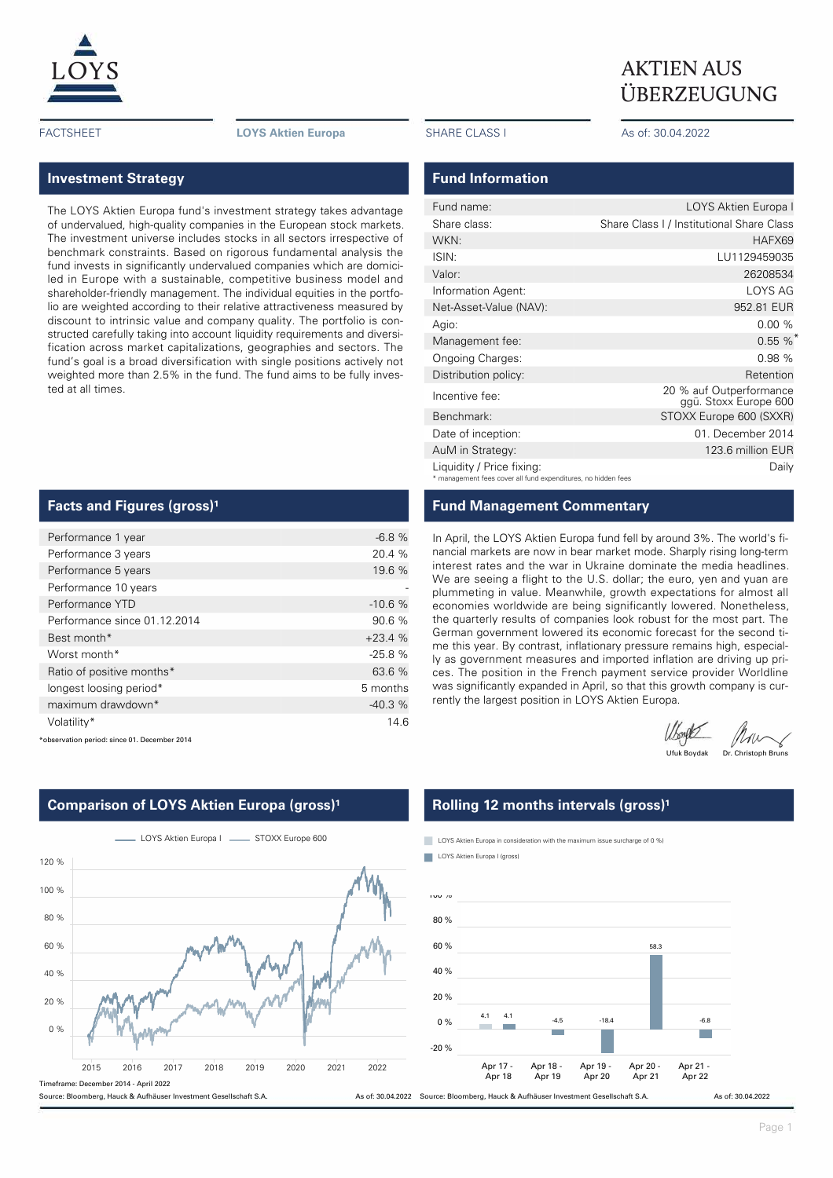

FACTSHEET **LOYS Aktien Europa** SHARE CLASS I As of: 30.04.2022

# **Investment Strategy**

The LOYS Aktien Europa fund's investment strategy takes advantage of undervalued, high-quality companies in the European stock markets. The investment universe includes stocks in all sectors irrespective of benchmark constraints. Based on rigorous fundamental analysis the fund invests in significantly undervalued companies which are domiciled in Europe with a sustainable, competitive business model and shareholder-friendly management. The individual equities in the portfolio are weighted according to their relative attractiveness measured by discount to intrinsic value and company quality. The portfolio is constructed carefully taking into account liquidity requirements and diversification across market capitalizations, geographies and sectors. The fund's goal is a broad diversification with single positions actively not weighted more than 2.5% in the fund. The fund aims to be fully invested at all times.

## **Facts and Figures (gross)<sup>1</sup>**

| Performance 1 year           | $-6.8%$  |
|------------------------------|----------|
| Performance 3 years          | 20.4 %   |
| Performance 5 years          | 19.6 %   |
| Performance 10 years         |          |
| Performance YTD              | $-10.6%$ |
| Performance since 01.12.2014 | 90.6 %   |
| Best month*                  | $+23.4%$ |
| Worst month*                 | $-25.8%$ |
| Ratio of positive months*    | 63.6 %   |
| longest loosing period*      | 5 months |
| maximum drawdown*            | $-40.3%$ |
| Volatility*                  | 14.6     |

\*observation period: since 01. December 2014

# L LOYS Aktien Europa I \_\_\_\_\_\_\_ STOXX Europe 600 2015 2016 2017 2018 2019 2020 2021 2022  $0 %$ 20 % 40 % 60 % 80 % 100 % 120 % Timeframe: December 2014 - April 2022 Source: Bloomberg, Hauck & Aufhäuser Investment Gesellschaft S.A.

# **Comparison of LOYS Aktien Europa (gross)<sup>1</sup>**

### **Fund Information**

| Fund name:                                                                                 | LOYS Aktien Europa I                             |
|--------------------------------------------------------------------------------------------|--------------------------------------------------|
| Share class:                                                                               | Share Class I / Institutional Share Class        |
| WKN:                                                                                       | HAFX69                                           |
| ISIN:                                                                                      | LU1129459035                                     |
| Valor:                                                                                     | 26208534                                         |
| Information Agent:                                                                         | LOYS AG                                          |
| Net-Asset-Value (NAV):                                                                     | 952.81 EUR                                       |
| Agio:                                                                                      | 0.00%                                            |
| Management fee:                                                                            | $0.55 \%$                                        |
| Ongoing Charges:                                                                           | 0.98%                                            |
| Distribution policy:                                                                       | Retention                                        |
| Incentive fee:                                                                             | 20 % auf Outperformance<br>ggü. Stoxx Europe 600 |
| Benchmark:                                                                                 | STOXX Europe 600 (SXXR)                          |
| Date of inception:                                                                         | 01. December 2014                                |
| AuM in Strategy:                                                                           | 123.6 million EUR                                |
| Liquidity / Price fixing:<br>* management fees cover all fund expenditures, no hidden fees | Daily                                            |

## **Fund Management Commentary**

In April, the LOYS Aktien Europa fund fell by around 3%. The world's financial markets are now in bear market mode. Sharply rising long-term interest rates and the war in Ukraine dominate the media headlines. We are seeing a flight to the U.S. dollar; the euro, yen and yuan are plummeting in value. Meanwhile, growth expectations for almost all economies worldwide are being significantly lowered. Nonetheless, the quarterly results of companies look robust for the most part. The German government lowered its economic forecast for the second time this year. By contrast, inflationary pressure remains high, especially as government measures and imported inflation are driving up prices. The position in the French payment service provider Worldline was significantly expanded in April, so that this growth company is currently the largest position in LOYS Aktien Europa.

Ufound Mu

# **Rolling 12 months intervals (gross)<sup>1</sup>**

LOYS Aktien Europa in consideration with the maximum issue surcharge of 0 %)

LOYS Aktien Europa I (gross)



ÜBERZEUGUNG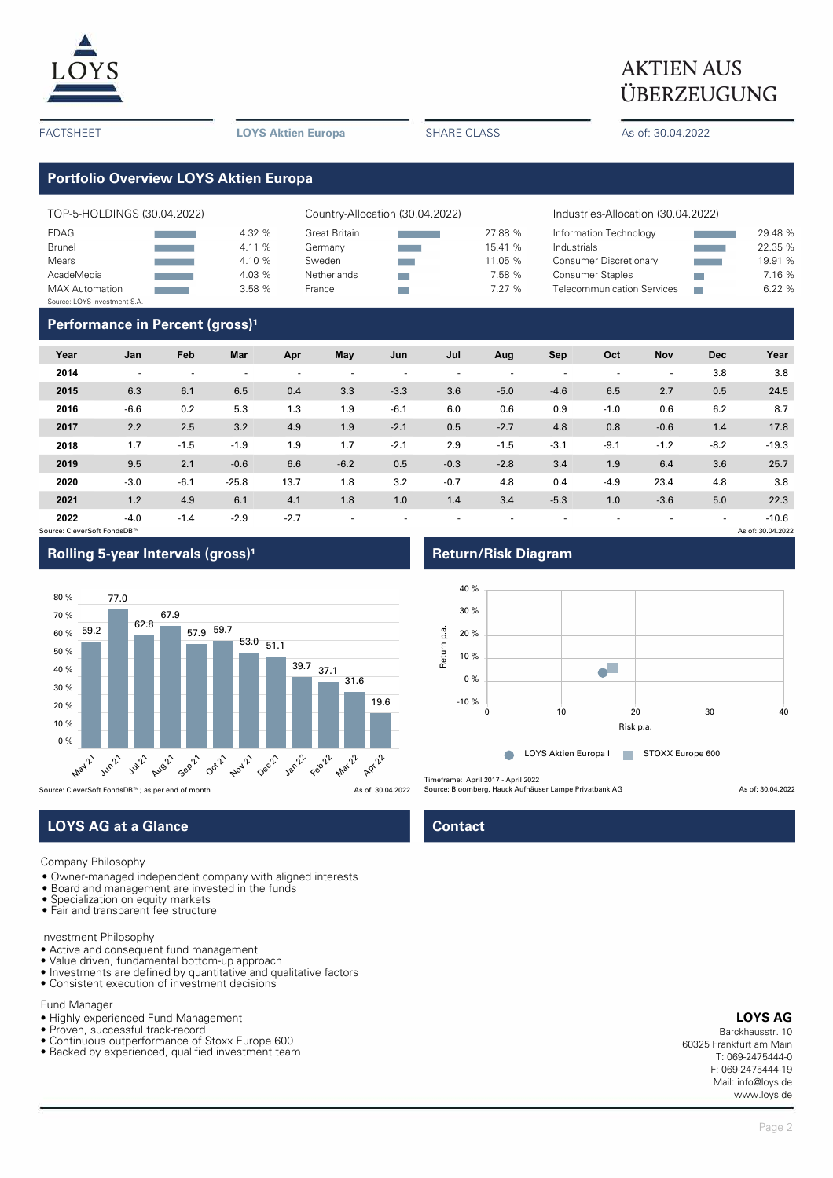

# $\underline{LOYS}$  AKTIEN AUS ÜBERZEUGUNG

FACTSHEET **LOYS Aktien Europa** SHARE CLASS I As of: 30.04.2022

# **Portfolio Overview LOYS Aktien Europa**

| TOP-5-HOLDINGS (30.04.2022)  |  |        | Country-Allocation (30.04.2022) |         | Industries-Allocation (30.04.2022) |  |         |  |
|------------------------------|--|--------|---------------------------------|---------|------------------------------------|--|---------|--|
| EDAG                         |  | 4.32 % | Great Britain                   | 27.88 % | Information Technology             |  | 29.48 % |  |
| <b>Brunel</b>                |  | 4.11 % | Germany                         | 15.41 % | Industrials                        |  | 22.35 % |  |
| Mears                        |  | 4.10 % | Sweden                          | 11.05 % | <b>Consumer Discretionary</b>      |  | 19.91 % |  |
| AcadeMedia                   |  | 4.03 % | Netherlands                     | 7.58 %  | <b>Consumer Staples</b>            |  | 7.16 %  |  |
| <b>MAX Automation</b>        |  | 3.58%  | France                          | 7.27 %  | <b>Telecommunication Services</b>  |  | 6.22%   |  |
| Source: LOYS Investment S.A. |  |        |                                 |         |                                    |  |         |  |

### **Performance in Percent (gross)<sup>1</sup>**

| Year                        | Jan    | Feb                      | Mar     | Apr    | May    | Jun    | Jul                      | Aug    | Sep    | Oct    | Nov    | <b>Dec</b> | Year              |
|-----------------------------|--------|--------------------------|---------|--------|--------|--------|--------------------------|--------|--------|--------|--------|------------|-------------------|
| 2014                        | ۰      | $\overline{\phantom{a}}$ | ۰       |        |        | ۰      | $\overline{\phantom{a}}$ |        |        | ۰.     | ٠      | 3.8        | 3.8               |
| 2015                        | 6.3    | 6.1                      | 6.5     | 0.4    | 3.3    | $-3.3$ | 3.6                      | $-5.0$ | $-4.6$ | 6.5    | 2.7    | 0.5        | 24.5              |
| 2016                        | $-6.6$ | 0.2                      | 5.3     | 1.3    | 1.9    | $-6.1$ | 6.0                      | 0.6    | 0.9    | $-1.0$ | 0.6    | 6.2        | 8.7               |
| 2017                        | 2.2    | 2.5                      | 3.2     | 4.9    | 1.9    | $-2.1$ | 0.5                      | $-2.7$ | 4.8    | 0.8    | $-0.6$ | 1.4        | 17.8              |
| 2018                        | 1.7    | $-1.5$                   | $-1.9$  | 1.9    | 1.7    | $-2.1$ | 2.9                      | $-1.5$ | $-3.1$ | $-9.1$ | $-1.2$ | $-8.2$     | $-19.3$           |
| 2019                        | 9.5    | 2.1                      | $-0.6$  | 6.6    | $-6.2$ | 0.5    | $-0.3$                   | $-2.8$ | 3.4    | 1.9    | 6.4    | 3.6        | 25.7              |
| 2020                        | $-3.0$ | $-6.1$                   | $-25.8$ | 13.7   | 1.8    | 3.2    | $-0.7$                   | 4.8    | 0.4    | $-4.9$ | 23.4   | 4.8        | 3.8               |
| 2021                        | 1.2    | 4.9                      | 6.1     | 4.1    | 1.8    | 1.0    | 1.4                      | 3.4    | $-5.3$ | 1.0    | $-3.6$ | 5.0        | 22.3              |
| 2022                        | $-4.0$ | $-1.4$                   | $-2.9$  | $-2.7$ | ۰      | ۰      | $\overline{\phantom{a}}$ |        |        |        |        | ۰          | $-10.6$           |
| Source: CleverSoft FondsDB™ |        |                          |         |        |        |        |                          |        |        |        |        |            | As of: 30.04.2022 |



# **LOYS AG at a Glance Contact Contact**

#### Company Philosophy

- Owner-managed independent company with aligned interests
- Board and management are invested in the funds
- Specialization on equity markets
- Fair and transparent fee structure

#### Investment Philosophy

- Active and consequent fund management
- Value driven, fundamental bottom-up approach
- Investments are defined by quantitative and qualitative factors
- Consistent execution of investment decisions

### Fund Manager

- Highly experienced Fund Management
- Proven, successful track-record
- Continuous outperformance of Stoxx Europe 600 • Backed by experienced, qualified investment team

### **Rolling 5-year Intervals (gross)<sup>1</sup> <b>Return/Risk Diagram**



Timeframe: April 2017 - April 2022

Source: Bloomberg, Hauck Aufhäuser Lampe Privatbank AG As of: 30.04.2022

### **LOYS AG**

Barckhausstr. 10 60325 Frankfurt am Main T: 069-2475444-0 F: 069-2475444-19 Mail: info@loys.de www.loys.de